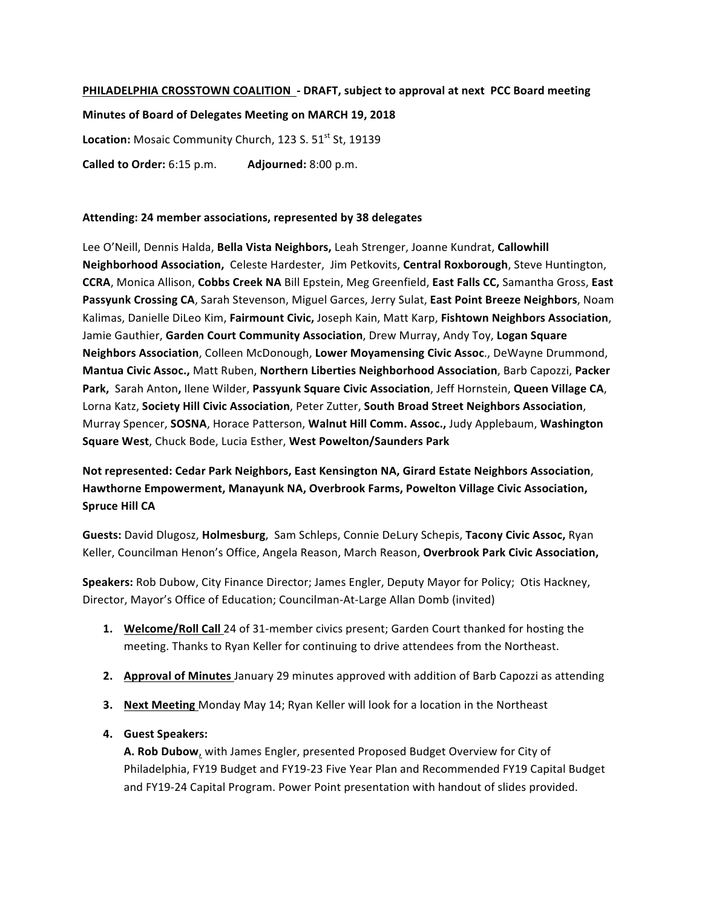# **PHILADELPHIA CROSSTOWN COALITION** - DRAFT, subject to approval at next PCC Board meeting

**Minutes of Board of Delegates Meeting on MARCH 19, 2018** Location: Mosaic Community Church, 123 S. 51<sup>st</sup> St, 19139 **Called to Order:** 6:15 p.m. **Adjourned:** 8:00 p.m.

#### **Attending: 24 member associations, represented by 38 delegates**

Lee O'Neill, Dennis Halda, Bella Vista Neighbors, Leah Strenger, Joanne Kundrat, Callowhill **Neighborhood Association,**  Celeste Hardester, Jim Petkovits, **Central Roxborough**, Steve Huntington, **CCRA**, Monica Allison, **Cobbs Creek NA** Bill Epstein, Meg Greenfield, **East Falls CC,** Samantha Gross, **East**  Passyunk Crossing CA, Sarah Stevenson, Miguel Garces, Jerry Sulat, East Point Breeze Neighbors, Noam Kalimas, Danielle DiLeo Kim, Fairmount Civic, Joseph Kain, Matt Karp, Fishtown Neighbors Association, Jamie Gauthier, Garden Court Community Association, Drew Murray, Andy Toy, Logan Square **Neighbors Association**, Colleen McDonough, **Lower Moyamensing Civic Assoc**., DeWayne Drummond, **Mantua Civic Assoc.,** Matt Ruben, Northern Liberties Neighborhood Association, Barb Capozzi, Packer **Park, Sarah Anton, Ilene Wilder, Passyunk Square Civic Association, Jeff Hornstein, Queen Village CA,** Lorna Katz, Society Hill Civic Association, Peter Zutter, South Broad Street Neighbors Association, Murray Spencer, SOSNA, Horace Patterson, Walnut Hill Comm. Assoc., Judy Applebaum, Washington **Square West**, Chuck Bode, Lucia Esther, **West Powelton/Saunders Park**

# Not represented: Cedar Park Neighbors, East Kensington NA, Girard Estate Neighbors Association, Hawthorne Empowerment, Manayunk NA, Overbrook Farms, Powelton Village Civic Association, **Spruce Hill CA**

**Guests:** David Dlugosz, **Holmesburg**, Sam Schleps, Connie DeLury Schepis, **Tacony Civic Assoc,** Ryan Keller, Councilman Henon's Office, Angela Reason, March Reason, Overbrook Park Civic Association,

**Speakers:** Rob Dubow, City Finance Director; James Engler, Deputy Mayor for Policy; Otis Hackney, Director, Mayor's Office of Education; Councilman-At-Large Allan Domb (invited)

- **1.** Welcome/Roll Call 24 of 31-member civics present; Garden Court thanked for hosting the meeting. Thanks to Ryan Keller for continuing to drive attendees from the Northeast.
- **2. Approval of Minutes** January 29 minutes approved with addition of Barb Capozzi as attending
- **3.** Next Meeting Monday May 14; Ryan Keller will look for a location in the Northeast
- **4. Guest Speakers:**

**A. Rob Dubow**, with James Engler, presented Proposed Budget Overview for City of Philadelphia, FY19 Budget and FY19-23 Five Year Plan and Recommended FY19 Capital Budget and FY19-24 Capital Program. Power Point presentation with handout of slides provided.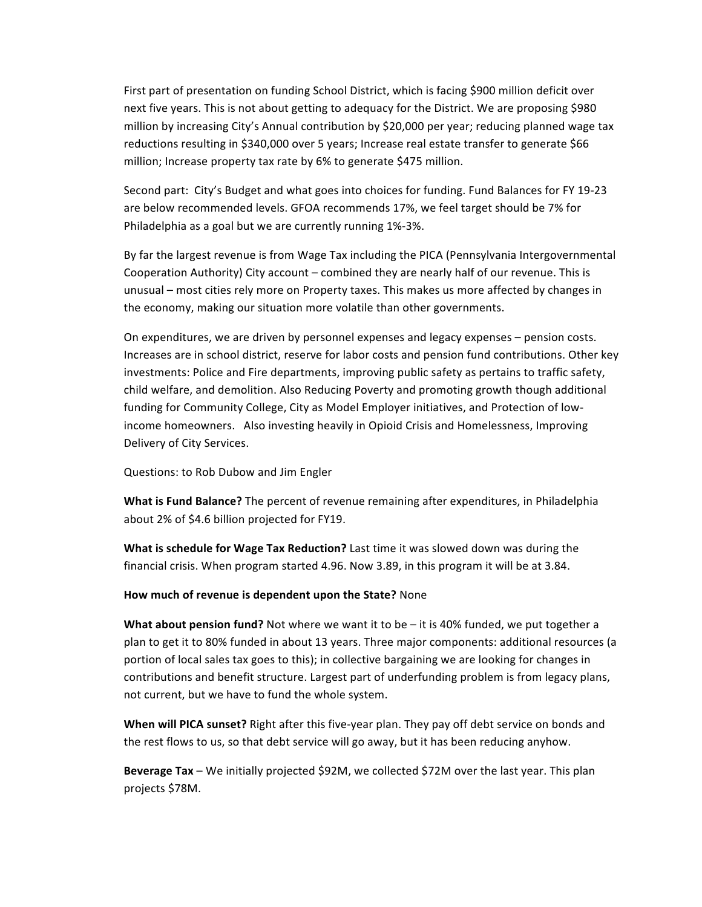First part of presentation on funding School District, which is facing \$900 million deficit over next five years. This is not about getting to adequacy for the District. We are proposing \$980 million by increasing City's Annual contribution by \$20,000 per year; reducing planned wage tax reductions resulting in \$340,000 over 5 years; Increase real estate transfer to generate \$66 million; Increase property tax rate by 6% to generate \$475 million.

Second part: City's Budget and what goes into choices for funding. Fund Balances for FY 19-23 are below recommended levels. GFOA recommends 17%, we feel target should be 7% for Philadelphia as a goal but we are currently running 1%-3%.

By far the largest revenue is from Wage Tax including the PICA (Pennsylvania Intergovernmental Cooperation Authority) City account – combined they are nearly half of our revenue. This is unusual – most cities rely more on Property taxes. This makes us more affected by changes in the economy, making our situation more volatile than other governments.

On expenditures, we are driven by personnel expenses and legacy expenses – pension costs. Increases are in school district, reserve for labor costs and pension fund contributions. Other key investments: Police and Fire departments, improving public safety as pertains to traffic safety, child welfare, and demolition. Also Reducing Poverty and promoting growth though additional funding for Community College, City as Model Employer initiatives, and Protection of lowincome homeowners. Also investing heavily in Opioid Crisis and Homelessness, Improving Delivery of City Services.

Questions: to Rob Dubow and Jim Engler

**What is Fund Balance?** The percent of revenue remaining after expenditures, in Philadelphia about 2% of \$4.6 billion projected for FY19.

**What is schedule for Wage Tax Reduction?** Last time it was slowed down was during the financial crisis. When program started 4.96. Now 3.89, in this program it will be at 3.84.

**How much of revenue is dependent upon the State?** None

**What about pension fund?** Not where we want it to be – it is 40% funded, we put together a plan to get it to 80% funded in about 13 years. Three major components: additional resources (a portion of local sales tax goes to this); in collective bargaining we are looking for changes in contributions and benefit structure. Largest part of underfunding problem is from legacy plans, not current, but we have to fund the whole system.

**When will PICA sunset?** Right after this five-year plan. They pay off debt service on bonds and the rest flows to us, so that debt service will go away, but it has been reducing anyhow.

**Beverage Tax** – We initially projected \$92M, we collected \$72M over the last year. This plan projects \$78M.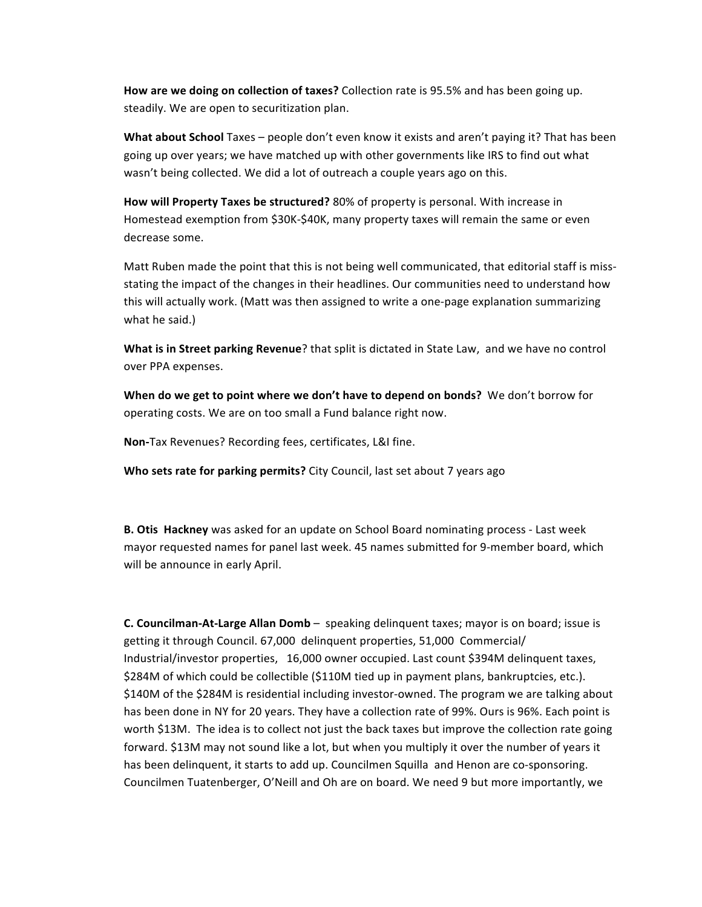**How are we doing on collection of taxes?** Collection rate is 95.5% and has been going up. steadily. We are open to securitization plan.

**What about School** Taxes – people don't even know it exists and aren't paying it? That has been going up over years; we have matched up with other governments like IRS to find out what wasn't being collected. We did a lot of outreach a couple years ago on this.

**How will Property Taxes be structured?** 80% of property is personal. With increase in Homestead exemption from \$30K-\$40K, many property taxes will remain the same or even decrease some.

Matt Ruben made the point that this is not being well communicated, that editorial staff is missstating the impact of the changes in their headlines. Our communities need to understand how this will actually work. (Matt was then assigned to write a one-page explanation summarizing what he said.)

**What is in Street parking Revenue**? that split is dictated in State Law, and we have no control over PPA expenses.

**When do we get to point where we don't have to depend on bonds?** We don't borrow for operating costs. We are on too small a Fund balance right now.

**Non-Tax Revenues? Recording fees, certificates, L&I fine.** 

**Who sets rate for parking permits?** City Council, last set about 7 years ago

**B. Otis Hackney** was asked for an update on School Board nominating process - Last week mayor requested names for panel last week. 45 names submitted for 9-member board, which will be announce in early April.

**C. Councilman-At-Large Allan Domb** - speaking delinquent taxes; mayor is on board; issue is getting it through Council. 67,000 delinquent properties, 51,000 Commercial/ Industrial/investor properties, 16,000 owner occupied. Last count \$394M delinquent taxes, \$284M of which could be collectible (\$110M tied up in payment plans, bankruptcies, etc.). \$140M of the \$284M is residential including investor-owned. The program we are talking about has been done in NY for 20 years. They have a collection rate of 99%. Ours is 96%. Each point is worth \$13M. The idea is to collect not just the back taxes but improve the collection rate going forward. \$13M may not sound like a lot, but when you multiply it over the number of years it has been delinquent, it starts to add up. Councilmen Squilla and Henon are co-sponsoring. Councilmen Tuatenberger, O'Neill and Oh are on board. We need 9 but more importantly, we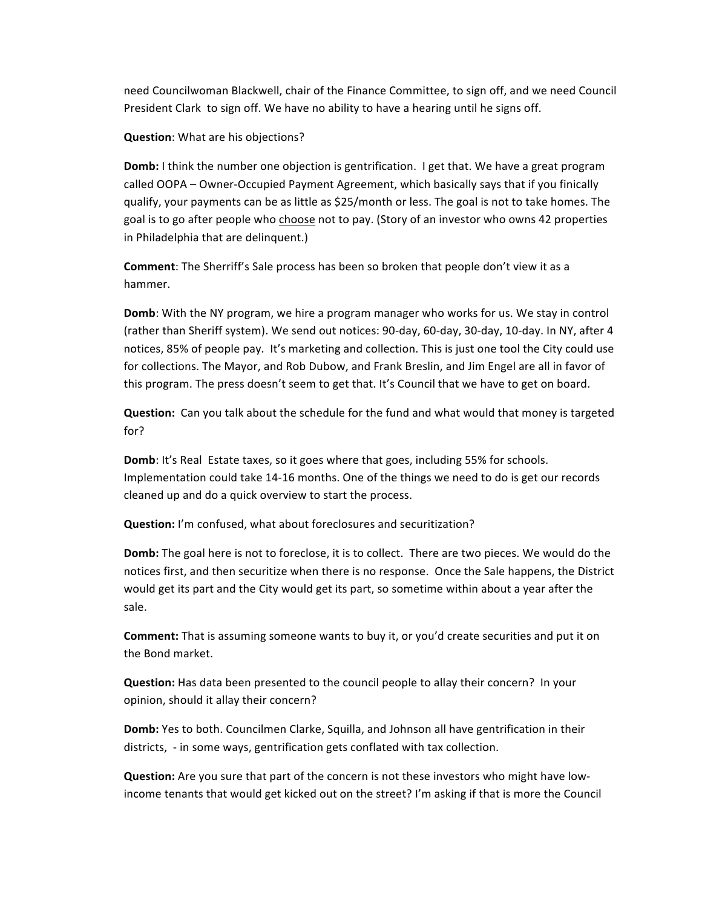need Councilwoman Blackwell, chair of the Finance Committee, to sign off, and we need Council President Clark to sign off. We have no ability to have a hearing until he signs off.

#### **Question:** What are his objections?

**Domb:** I think the number one objection is gentrification. I get that. We have a great program called OOPA – Owner-Occupied Payment Agreement, which basically says that if you finically qualify, your payments can be as little as \$25/month or less. The goal is not to take homes. The goal is to go after people who choose not to pay. (Story of an investor who owns 42 properties in Philadelphia that are delinquent.)

**Comment**: The Sherriff's Sale process has been so broken that people don't view it as a hammer. 

**Domb**: With the NY program, we hire a program manager who works for us. We stay in control (rather than Sheriff system). We send out notices: 90-day, 60-day, 30-day, 10-day. In NY, after 4 notices, 85% of people pay. It's marketing and collection. This is just one tool the City could use for collections. The Mayor, and Rob Dubow, and Frank Breslin, and Jim Engel are all in favor of this program. The press doesn't seem to get that. It's Council that we have to get on board.

**Question:** Can you talk about the schedule for the fund and what would that money is targeted for?

**Domb**: It's Real Estate taxes, so it goes where that goes, including 55% for schools. Implementation could take 14-16 months. One of the things we need to do is get our records cleaned up and do a quick overview to start the process.

**Question:** I'm confused, what about foreclosures and securitization?

**Domb:** The goal here is not to foreclose, it is to collect. There are two pieces. We would do the notices first, and then securitize when there is no response. Once the Sale happens, the District would get its part and the City would get its part, so sometime within about a year after the sale.

**Comment:** That is assuming someone wants to buy it, or you'd create securities and put it on the Bond market.

**Question:** Has data been presented to the council people to allay their concern? In your opinion, should it allay their concern?

Domb: Yes to both. Councilmen Clarke, Squilla, and Johnson all have gentrification in their districts, - in some ways, gentrification gets conflated with tax collection.

**Question:** Are you sure that part of the concern is not these investors who might have lowincome tenants that would get kicked out on the street? I'm asking if that is more the Council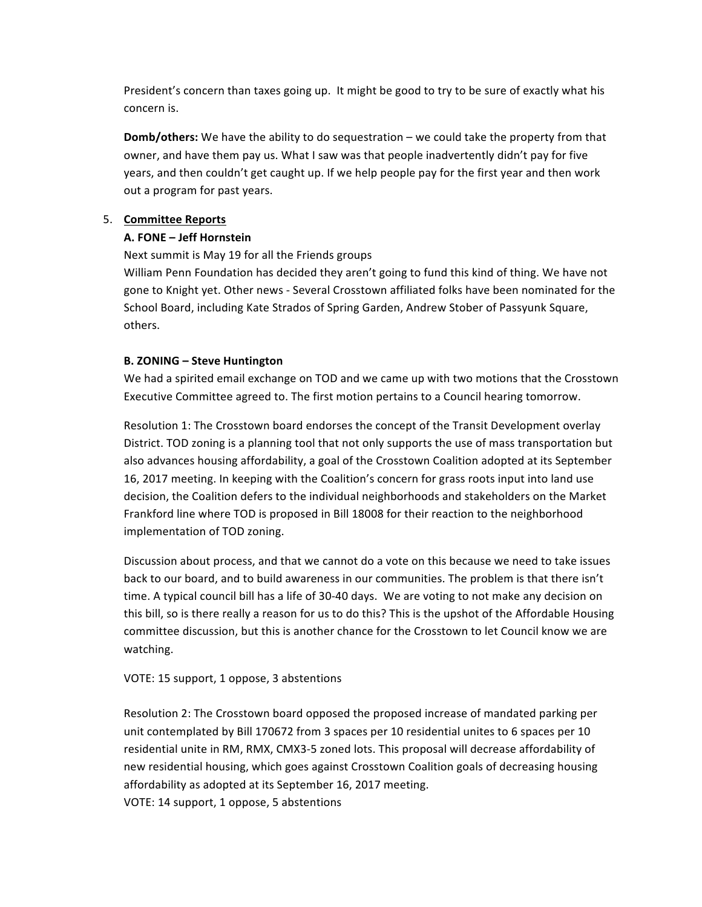President's concern than taxes going up. It might be good to try to be sure of exactly what his concern is.

**Domb/others:** We have the ability to do sequestration – we could take the property from that owner, and have them pay us. What I saw was that people inadvertently didn't pay for five years, and then couldn't get caught up. If we help people pay for the first year and then work out a program for past years.

# 5. **Committee Reports**

## **A. FONE – Jeff Hornstein**

Next summit is May 19 for all the Friends groups

William Penn Foundation has decided they aren't going to fund this kind of thing. We have not gone to Knight yet. Other news - Several Crosstown affiliated folks have been nominated for the School Board, including Kate Strados of Spring Garden, Andrew Stober of Passyunk Square, others.

## **B. ZONING – Steve Huntington**

We had a spirited email exchange on TOD and we came up with two motions that the Crosstown Executive Committee agreed to. The first motion pertains to a Council hearing tomorrow.

Resolution 1: The Crosstown board endorses the concept of the Transit Development overlay District. TOD zoning is a planning tool that not only supports the use of mass transportation but also advances housing affordability, a goal of the Crosstown Coalition adopted at its September 16, 2017 meeting. In keeping with the Coalition's concern for grass roots input into land use decision, the Coalition defers to the individual neighborhoods and stakeholders on the Market Frankford line where TOD is proposed in Bill 18008 for their reaction to the neighborhood implementation of TOD zoning.

Discussion about process, and that we cannot do a vote on this because we need to take issues back to our board, and to build awareness in our communities. The problem is that there isn't time. A typical council bill has a life of 30-40 days. We are voting to not make any decision on this bill, so is there really a reason for us to do this? This is the upshot of the Affordable Housing committee discussion, but this is another chance for the Crosstown to let Council know we are watching. 

VOTE: 15 support, 1 oppose, 3 abstentions

Resolution 2: The Crosstown board opposed the proposed increase of mandated parking per unit contemplated by Bill 170672 from 3 spaces per 10 residential unites to 6 spaces per 10 residential unite in RM, RMX, CMX3-5 zoned lots. This proposal will decrease affordability of new residential housing, which goes against Crosstown Coalition goals of decreasing housing affordability as adopted at its September 16, 2017 meeting. VOTE: 14 support, 1 oppose, 5 abstentions